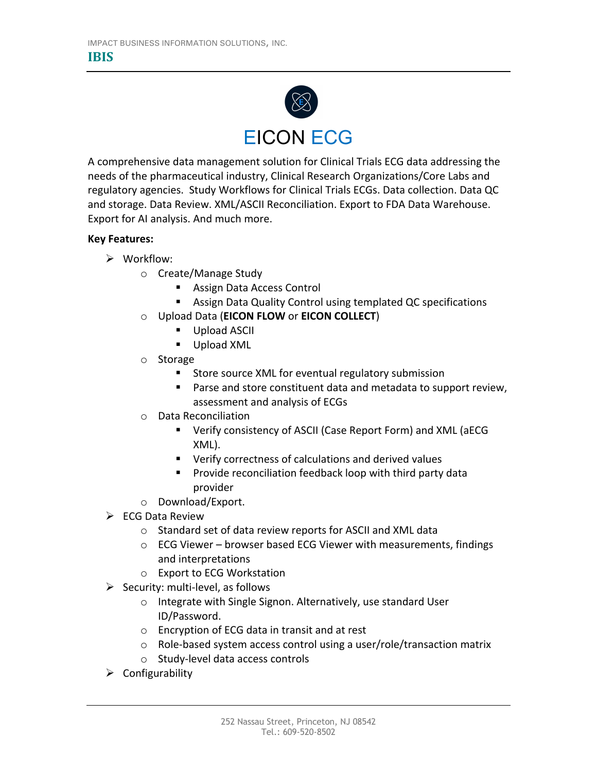

A comprehensive data management solution for Clinical Trials ECG data addressing the needs of the pharmaceutical industry, Clinical Research Organizations/Core Labs and regulatory agencies. Study Workflows for Clinical Trials ECGs. Data collection. Data QC and storage. Data Review. XML/ASCII Reconciliation. Export to FDA Data Warehouse. Export for AI analysis. And much more.

## **Key Features:**

- $\triangleright$  Workflow:
	- o Create/Manage Study
		- Assign Data Access Control
		- Assign Data Quality Control using templated QC specifications
	- o Upload Data (**EICON FLOW** or **EICON COLLECT**)
		- Upload ASCII
		- Upload XML
	- o Storage
		- Store source XML for eventual regulatory submission
		- Parse and store constituent data and metadata to support review, assessment and analysis of ECGs
	- o Data Reconciliation
		- Verify consistency of ASCII (Case Report Form) and XML (aECG XML).
		- Verify correctness of calculations and derived values
		- Provide reconciliation feedback loop with third party data provider
	- o Download/Export.
- $\triangleright$  ECG Data Review
	- o Standard set of data review reports for ASCII and XML data
	- o ECG Viewer browser based ECG Viewer with measurements, findings and interpretations
	- o Export to ECG Workstation
- $\triangleright$  Security: multi-level, as follows
	- o Integrate with Single Signon. Alternatively, use standard User ID/Password.
	- o Encryption of ECG data in transit and at rest
	- o Role-based system access control using a user/role/transaction matrix
	- o Study-level data access controls
- $\triangleright$  Configurability